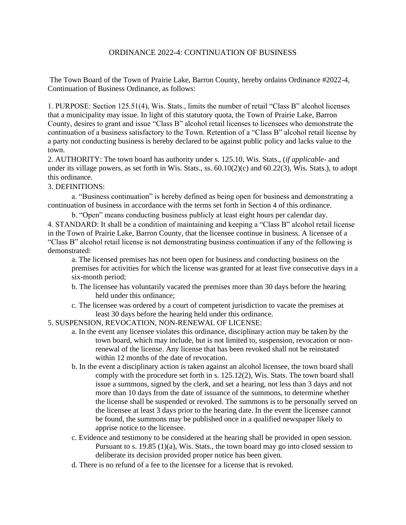## ORDINANCE 2022-4: CONTINUATION OF BUSINESS

The Town Board of the Town of Prairie Lake, Barron County, hereby ordains Ordinance #2022-4, Continuation of Business Ordinance, as follows:

1. PURPOSE: Section 125.51(4), Wis. Stats., limits the number of retail "Class B" alcohol licenses that a municipality may issue. In light of this statutory quota, the Town of Prairie Lake, Barron County, desires to grant and issue "Class B" alcohol retail licenses to licensees who demonstrate the continuation of a business satisfactory to the Town. Retention of a "Class B" alcohol retail license by a party not conducting business is hereby declared to be against public policy and lacks value to the town.

2. AUTHORITY: The town board has authority under s. 125.10, Wis. Stats., (*if applicable*- and under its village powers, as set forth in Wis. Stats., ss. 60.10(2)(c) and 60.22(3), Wis. Stats.), to adopt this ordinance.

3. DEFINITIONS:

a. "Business continuation" is hereby defined as being open for business and demonstrating a continuation of business in accordance with the terms set forth in Section 4 of this ordinance.

b. "Open" means conducting business publicly at least eight hours per calendar day.

4. STANDARD: It shall be a condition of maintaining and keeping a "Class B" alcohol retail license in the Town of Prairie Lake, Barron County, that the licensee continue in business. A licensee of a "Class B" alcohol retail license is not demonstrating business continuation if any of the following is demonstrated:

a. The licensed premises has not been open for business and conducting business on the premises for activities for which the license was granted for at least five consecutive days in a six-month period;

- b. The licensee has voluntarily vacated the premises more than 30 days before the hearing held under this ordinance;
- c. The licensee was ordered by a court of competent jurisdiction to vacate the premises at least 30 days before the hearing held under this ordinance.

5. SUSPENSION, REVOCATION, NON-RENEWAL OF LICENSE:

- a. In the event any licensee violates this ordinance, disciplinary action may be taken by the town board, which may include, but is not limited to, suspension, revocation or nonrenewal of the license. Any license that has been revoked shall not be reinstated within 12 months of the date of revocation.
- b. In the event a disciplinary action is taken against an alcohol licensee, the town board shall comply with the procedure set forth in s. 125.12(2), Wis. Stats. The town board shall issue a summons, signed by the clerk, and set a hearing, not less than 3 days and not more than 10 days from the date of issuance of the summons, to determine whether the license shall be suspended or revoked. The summons is to be personally served on the licensee at least 3 days prior to the hearing date. In the event the licensee cannot be found, the summons may be published once in a qualified newspaper likely to apprise notice to the licensee.
- c. Evidence and testimony to be considered at the hearing shall be provided in open session. Pursuant to s. 19.85 (1)(a), Wis. Stats., the town board may go into closed session to deliberate its decision provided proper notice has been given.
- d. There is no refund of a fee to the licensee for a license that is revoked.